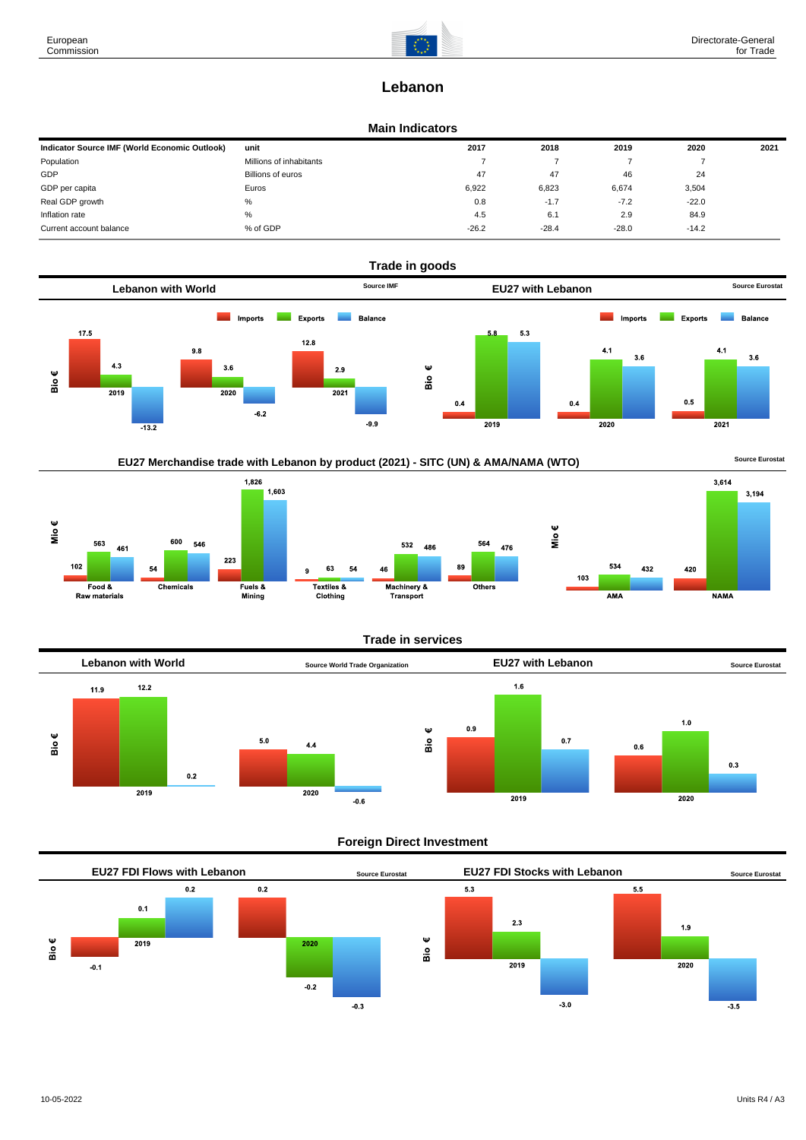

3,194

# **Lebanon**

# **Main Indicators**

| Indicator Source IMF (World Economic Outlook) | unit                    | 2017    | 2018    | 2019    | 2020    | 2021 |
|-----------------------------------------------|-------------------------|---------|---------|---------|---------|------|
| Population                                    | Millions of inhabitants |         |         |         |         |      |
| GDP                                           | Billions of euros       | 47      | 47      | 46      | 24      |      |
| GDP per capita                                | Euros                   | 6,922   | 6,823   | 6,674   | 3,504   |      |
| Real GDP growth                               | %                       | 0.8     | $-1.7$  | $-7.2$  | $-22.0$ |      |
| Inflation rate                                | %                       | 4.5     | 6.1     | 2.9     | 84.9    |      |
| Current account balance                       | % of GDP                | $-26.2$ | $-28.4$ | $-28.0$ | $-14.2$ |      |







# **Trade in services**



# **Foreign Direct Investment**